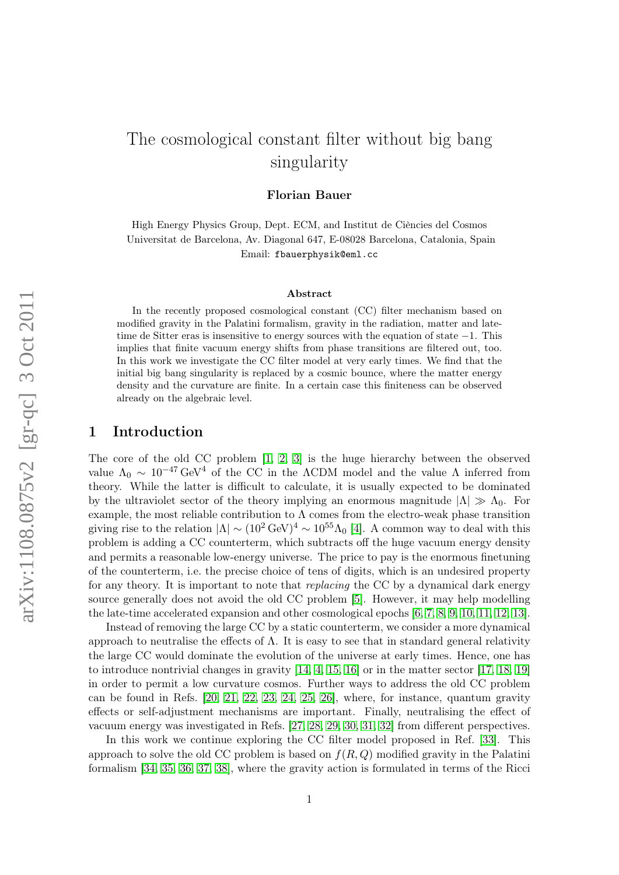# The cosmological constant filter without big bang singularity

Florian Bauer

High Energy Physics Group, Dept. ECM, and Institut de Ciències del Cosmos Universitat de Barcelona, Av. Diagonal 647, E-08028 Barcelona, Catalonia, Spain Email: fbauerphysik@eml.cc

#### Abstract

In the recently proposed cosmological constant (CC) filter mechanism based on modified gravity in the Palatini formalism, gravity in the radiation, matter and latetime de Sitter eras is insensitive to energy sources with the equation of state −1. This implies that finite vacuum energy shifts from phase transitions are filtered out, too. In this work we investigate the CC filter model at very early times. We find that the initial big bang singularity is replaced by a cosmic bounce, where the matter energy density and the curvature are finite. In a certain case this finiteness can be observed already on the algebraic level.

#### 1 Introduction

The core of the old CC problem [\[1,](#page-11-0) [2,](#page-11-1) [3\]](#page-11-2) is the huge hierarchy between the observed value  $\Lambda_0 \sim 10^{-47} \text{ GeV}^4$  of the CC in the ΛCDM model and the value Λ inferred from theory. While the latter is difficult to calculate, it is usually expected to be dominated by the ultraviolet sector of the theory implying an enormous magnitude  $|\Lambda| \gg \Lambda_0$ . For example, the most reliable contribution to  $\Lambda$  comes from the electro-weak phase transition giving rise to the relation  $|\Lambda| \sim (10^2 \text{ GeV})^4 \sim 10^{55} \Lambda_0$  [\[4\]](#page-11-3). A common way to deal with this problem is adding a CC counterterm, which subtracts off the huge vacuum energy density and permits a reasonable low-energy universe. The price to pay is the enormous finetuning of the counterterm, i.e. the precise choice of tens of digits, which is an undesired property for any theory. It is important to note that *replacing* the CC by a dynamical dark energy source generally does not avoid the old CC problem [\[5\]](#page-11-4). However, it may help modelling the late-time accelerated expansion and other cosmological epochs [\[6,](#page-11-5) [7,](#page-11-6) [8,](#page-11-7) [9,](#page-11-8) [10,](#page-11-9) [11,](#page-11-10) [12,](#page-11-11) [13\]](#page-11-12).

Instead of removing the large CC by a static counterterm, we consider a more dynamical approach to neutralise the effects of  $\Lambda$ . It is easy to see that in standard general relativity the large CC would dominate the evolution of the universe at early times. Hence, one has to introduce nontrivial changes in gravity [\[14,](#page-11-13) [4,](#page-11-3) [15,](#page-11-14) [16\]](#page-11-15) or in the matter sector [\[17,](#page-11-16) [18,](#page-12-0) [19\]](#page-12-1) in order to permit a low curvature cosmos. Further ways to address the old CC problem can be found in Refs. [\[20,](#page-12-2) [21,](#page-12-3) [22,](#page-12-4) [23,](#page-12-5) [24,](#page-12-6) [25,](#page-12-7) [26\]](#page-12-8), where, for instance, quantum gravity effects or self-adjustment mechanisms are important. Finally, neutralising the effect of vacuum energy was investigated in Refs. [\[27,](#page-12-9) [28,](#page-12-10) [29,](#page-12-11) [30,](#page-12-12) [31,](#page-12-13) [32\]](#page-12-14) from different perspectives.

In this work we continue exploring the CC filter model proposed in Ref. [\[33\]](#page-12-15). This approach to solve the old CC problem is based on  $f(R, Q)$  modified gravity in the Palatini formalism [\[34,](#page-12-16) [35,](#page-12-17) [36,](#page-12-18) [37,](#page-12-19) [38\]](#page-12-20), where the gravity action is formulated in terms of the Ricci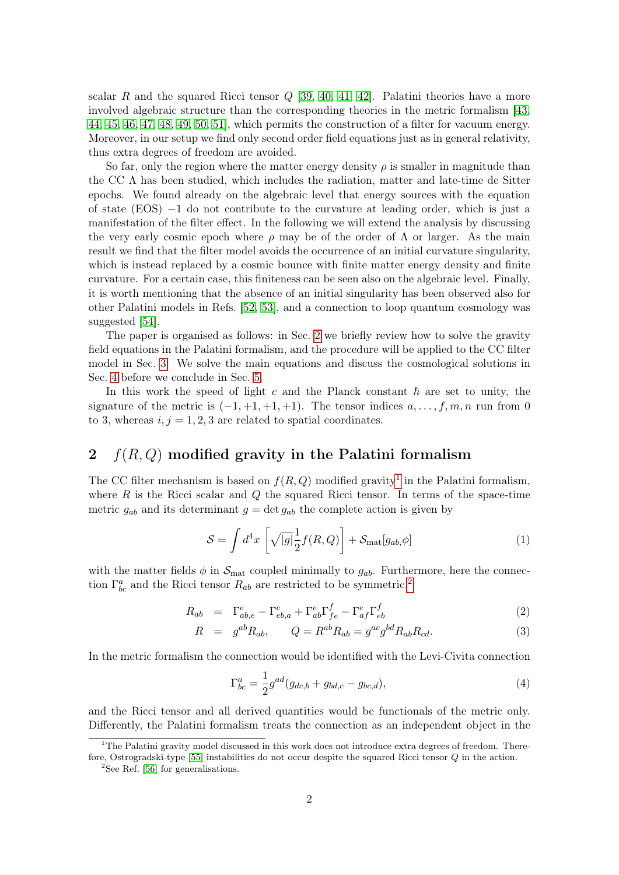scalar R and the squared Ricci tensor  $Q$  [\[39,](#page-13-0) [40,](#page-13-1) [41,](#page-13-2) [42\]](#page-13-3). Palatini theories have a more involved algebraic structure than the corresponding theories in the metric formalism [\[43,](#page-13-4) [44,](#page-13-5) [45,](#page-13-6) [46,](#page-13-7) [47,](#page-13-8) [48,](#page-13-9) [49,](#page-13-10) [50,](#page-13-11) [51\]](#page-13-12), which permits the construction of a filter for vacuum energy. Moreover, in our setup we find only second order field equations just as in general relativity, thus extra degrees of freedom are avoided.

So far, only the region where the matter energy density  $\rho$  is smaller in magnitude than the CC  $\Lambda$  has been studied, which includes the radiation, matter and late-time de Sitter epochs. We found already on the algebraic level that energy sources with the equation of state (EOS) −1 do not contribute to the curvature at leading order, which is just a manifestation of the filter effect. In the following we will extend the analysis by discussing the very early cosmic epoch where  $\rho$  may be of the order of  $\Lambda$  or larger. As the main result we find that the filter model avoids the occurrence of an initial curvature singularity, which is instead replaced by a cosmic bounce with finite matter energy density and finite curvature. For a certain case, this finiteness can be seen also on the algebraic level. Finally, it is worth mentioning that the absence of an initial singularity has been observed also for other Palatini models in Refs. [\[52,](#page-13-13) [53\]](#page-13-14), and a connection to loop quantum cosmology was suggested [\[54\]](#page-13-15).

The paper is organised as follows: in Sec. [2](#page-1-0) we briefly review how to solve the gravity field equations in the Palatini formalism, and the procedure will be applied to the CC filter model in Sec. [3.](#page-3-0) We solve the main equations and discuss the cosmological solutions in Sec. [4](#page-5-0) before we conclude in Sec. [5.](#page-10-0)

In this work the speed of light c and the Planck constant  $\hbar$  are set to unity, the signature of the metric is  $(-1, +1, +1, +1)$ . The tensor indices  $a, \ldots, f, m, n$  run from 0 to 3, whereas  $i, j = 1, 2, 3$  are related to spatial coordinates.

## <span id="page-1-0"></span>2  $f(R,Q)$  modified gravity in the Palatini formalism

The CC filter mechanism is based on  $f(R,Q)$  modified gravity<sup>[1](#page-1-1)</sup> in the Palatini formalism, where  $R$  is the Ricci scalar and  $Q$  the squared Ricci tensor. In terms of the space-time metric  $g_{ab}$  and its determinant  $g = \det g_{ab}$  the complete action is given by

$$
S = \int d^4x \left[ \sqrt{|g|} \frac{1}{2} f(R, Q) \right] + S_{\text{mat}}[g_{ab}, \phi] \tag{1}
$$

with the matter fields  $\phi$  in  $\mathcal{S}_{\text{mat}}$  coupled minimally to  $g_{ab}$ . Furthermore, here the connection  $\Gamma^a_{bc}$  and the Ricci tensor  $R_{ab}$  are restricted to be symmetric,<sup>[2](#page-1-2)</sup>

<span id="page-1-3"></span>
$$
R_{ab} = \Gamma^{e}_{ab,e} - \Gamma^{e}_{eb,a} + \Gamma^{e}_{ab} \Gamma^{f}_{fe} - \Gamma^{e}_{af} \Gamma^{f}_{eb} \tag{2}
$$

$$
R = g^{ab}R_{ab}, \qquad Q = R^{ab}R_{ab} = g^{ac}g^{bd}R_{ab}R_{cd}.
$$
 (3)

In the metric formalism the connection would be identified with the Levi-Civita connection

$$
\Gamma_{bc}^{a} = \frac{1}{2} g^{ad} (g_{dc,b} + g_{bd,c} - g_{bc,d}),
$$
\n(4)

and the Ricci tensor and all derived quantities would be functionals of the metric only. Differently, the Palatini formalism treats the connection as an independent object in the

<span id="page-1-1"></span> $1<sup>1</sup>$ The Palatini gravity model discussed in this work does not introduce extra degrees of freedom. Therefore, Ostrogradski-type [\[55\]](#page-13-16) instabilities do not occur despite the squared Ricci tensor Q in the action.

<span id="page-1-2"></span><sup>&</sup>lt;sup>2</sup>See Ref. [\[56\]](#page-13-17) for generalisations.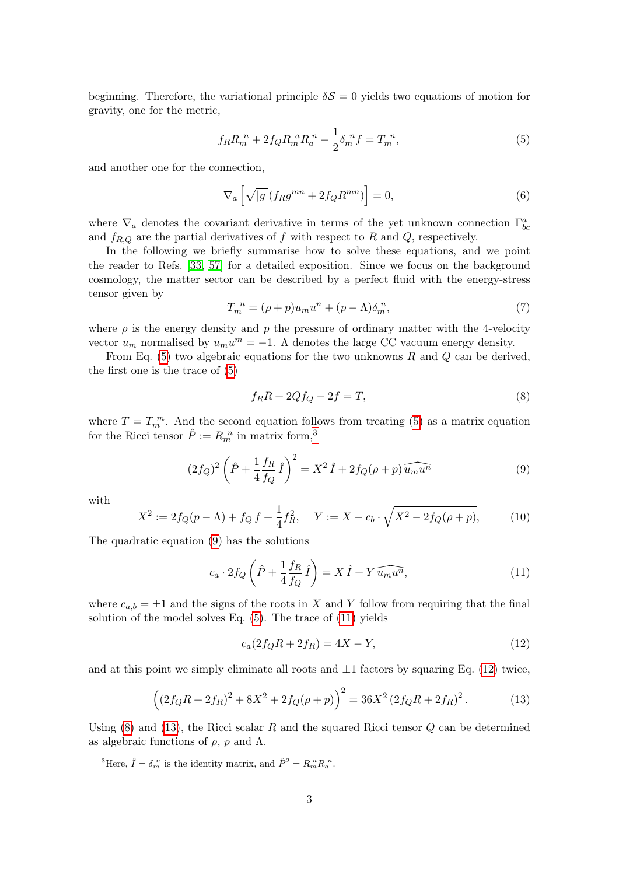beginning. Therefore, the variational principle  $\delta S = 0$  yields two equations of motion for gravity, one for the metric,

<span id="page-2-0"></span>
$$
f_R R_m^{n} + 2f_Q R_m^{n} R_a^{n} - \frac{1}{2} \delta_m^{n} f = T_m^{n}, \qquad (5)
$$

and another one for the connection,

<span id="page-2-7"></span>
$$
\nabla_a \left[ \sqrt{|g|} (f_R g^{mn} + 2f_Q R^{mn}) \right] = 0,\tag{6}
$$

where  $\nabla_a$  denotes the covariant derivative in terms of the yet unknown connection  $\Gamma^a_{bc}$ and  $f_{R,Q}$  are the partial derivatives of f with respect to R and Q, respectively.

In the following we briefly summarise how to solve these equations, and we point the reader to Refs. [\[33,](#page-12-15) [57\]](#page-13-18) for a detailed exposition. Since we focus on the background cosmology, the matter sector can be described by a perfect fluid with the energy-stress tensor given by

<span id="page-2-8"></span>
$$
T_m^{\ n} = (\rho + p)u_m u^n + (p - \Lambda)\delta_m^n,\tag{7}
$$

where  $\rho$  is the energy density and p the pressure of ordinary matter with the 4-velocity vector  $u_m$  normalised by  $u_m u^m = -1$ . A denotes the large CC vacuum energy density.

From Eq.  $(5)$  two algebraic equations for the two unknowns R and Q can be derived, the first one is the trace of [\(5\)](#page-2-0)

<span id="page-2-5"></span>
$$
f_R R + 2Qf_Q - 2f = T,\t\t(8)
$$

where  $T = T_m^m$ . And the second equation follows from treating [\(5\)](#page-2-0) as a matrix equation for the Ricci tensor  $\hat{P} := R_m^{n}$  in matrix form,<sup>[3](#page-2-1)</sup>

<span id="page-2-2"></span>
$$
(2f_Q)^2 \left(\hat{P} + \frac{1}{4} \frac{f_R}{f_Q} \hat{I}\right)^2 = X^2 \hat{I} + 2f_Q(\rho + p) \widehat{u_m u^n}
$$
(9)

with

<span id="page-2-9"></span>
$$
X^{2} := 2f_{Q}(p - \Lambda) + f_{Q} f + \frac{1}{4} f_{R}^{2}, \quad Y := X - c_{b} \cdot \sqrt{X^{2} - 2f_{Q}(\rho + p)},
$$
(10)

The quadratic equation [\(9\)](#page-2-2) has the solutions

<span id="page-2-3"></span>
$$
c_a \cdot 2f_Q\left(\hat{P} + \frac{1}{4}\frac{f_R}{f_Q}\hat{I}\right) = X\,\hat{I} + Y\,\widehat{u_m u^n},\tag{11}
$$

where  $c_{a,b} = \pm 1$  and the signs of the roots in X and Y follow from requiring that the final solution of the model solves Eq. [\(5\)](#page-2-0). The trace of [\(11\)](#page-2-3) yields

<span id="page-2-4"></span>
$$
c_a(2f_QR + 2f_R) = 4X - Y,
$$
\n(12)

and at this point we simply eliminate all roots and  $\pm 1$  factors by squaring Eq. [\(12\)](#page-2-4) twice,

<span id="page-2-6"></span>
$$
((2f_QR + 2f_R)^2 + 8X^2 + 2f_Q(\rho + p))^2 = 36X^2(2f_QR + 2f_R)^2.
$$
 (13)

Using  $(8)$  and  $(13)$ , the Ricci scalar R and the squared Ricci tensor Q can be determined as algebraic functions of  $\rho$ , p and  $\Lambda$ .

<span id="page-2-1"></span><sup>3</sup>Here,  $\hat{I} = \delta_m^{\ n}$  is the identity matrix, and  $\hat{P}^2 = R_m^{\ a} R_a^{\ n}$ .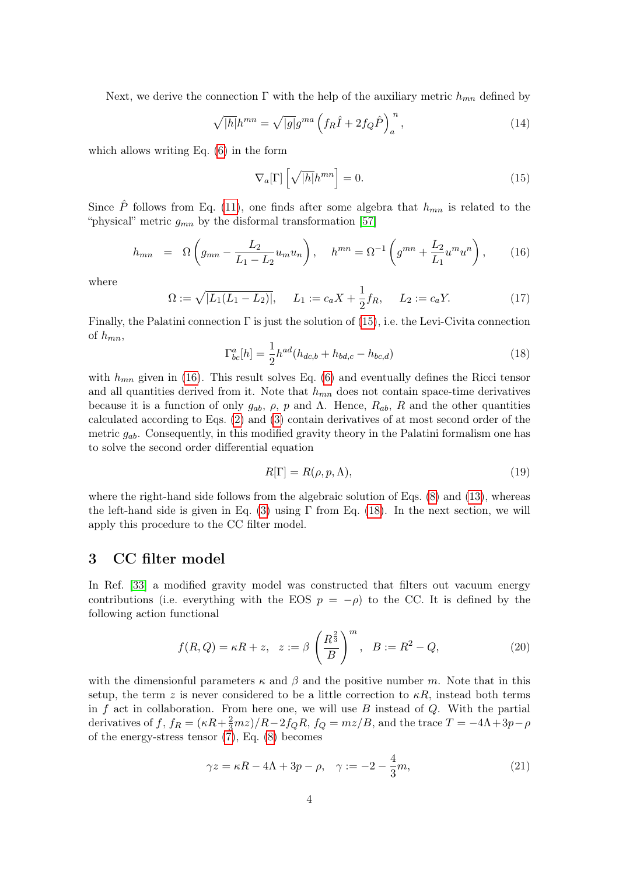Next, we derive the connection  $\Gamma$  with the help of the auxiliary metric  $h_{mn}$  defined by

$$
\sqrt{|h|}h^{mn} = \sqrt{|g|}g^{ma} \left(f_R\hat{I} + 2f_Q\hat{P}\right)_a^n,\tag{14}
$$

which allows writing Eq. [\(6\)](#page-2-7) in the form

<span id="page-3-1"></span>
$$
\nabla_a[\Gamma] \left[ \sqrt{|h|} h^{mn} \right] = 0. \tag{15}
$$

Since P follows from Eq. [\(11\)](#page-2-3), one finds after some algebra that  $h_{mn}$  is related to the "physical" metric  $g_{mn}$  by the disformal transformation [\[57\]](#page-13-18)

<span id="page-3-2"></span>
$$
h_{mn} = \Omega \left( g_{mn} - \frac{L_2}{L_1 - L_2} u_m u_n \right), \quad h^{mn} = \Omega^{-1} \left( g^{mn} + \frac{L_2}{L_1} u^m u^n \right), \quad (16)
$$

where

<span id="page-3-7"></span>
$$
\Omega := \sqrt{|L_1(L_1 - L_2)|}, \quad L_1 := c_a X + \frac{1}{2} f_R, \quad L_2 := c_a Y. \tag{17}
$$

Finally, the Palatini connection  $\Gamma$  is just the solution of [\(15\)](#page-3-1), i.e. the Levi-Civita connection of  $h_{mn}$ ,

<span id="page-3-3"></span>
$$
\Gamma_{bc}^a[h] = \frac{1}{2}h^{ad}(h_{dc,b} + h_{bd,c} - h_{bc,d})
$$
\n(18)

with  $h_{mn}$  given in [\(16\)](#page-3-2). This result solves Eq. [\(6\)](#page-2-7) and eventually defines the Ricci tensor and all quantities derived from it. Note that  $h_{mn}$  does not contain space-time derivatives because it is a function of only  $g_{ab}$ ,  $\rho$ ,  $p$  and  $\Lambda$ . Hence,  $R_{ab}$ ,  $R$  and the other quantities calculated according to Eqs. [\(2\)](#page-1-3) and [\(3\)](#page-1-3) contain derivatives of at most second order of the metric  $g_{ab}$ . Consequently, in this modified gravity theory in the Palatini formalism one has to solve the second order differential equation

<span id="page-3-6"></span>
$$
R[\Gamma] = R(\rho, p, \Lambda),\tag{19}
$$

where the right-hand side follows from the algebraic solution of Eqs. [\(8\)](#page-2-5) and [\(13\)](#page-2-6), whereas the left-hand side is given in Eq. [\(3\)](#page-1-3) using  $\Gamma$  from Eq. [\(18\)](#page-3-3). In the next section, we will apply this procedure to the CC filter model.

## <span id="page-3-0"></span>3 CC filter model

In Ref. [\[33\]](#page-12-15) a modified gravity model was constructed that filters out vacuum energy contributions (i.e. everything with the EOS  $p = -\rho$ ) to the CC. It is defined by the following action functional

<span id="page-3-5"></span>
$$
f(R,Q) = \kappa R + z, \quad z := \beta \left(\frac{R^{\frac{2}{3}}}{B}\right)^m, \quad B := R^2 - Q,\tag{20}
$$

with the dimensionful parameters  $\kappa$  and  $\beta$  and the positive number m. Note that in this setup, the term z is never considered to be a little correction to  $\kappa R$ , instead both terms in  $f$  act in collaboration. From here one, we will use  $B$  instead of  $Q$ . With the partial derivatives of f,  $f_R = (\kappa R + \frac{2}{3}mz)/R - 2f_QR$ ,  $f_Q = mz/B$ , and the trace  $T = -4\Lambda + 3p - \rho$ of the energy-stress tensor [\(7\)](#page-2-8), Eq. [\(8\)](#page-2-5) becomes

<span id="page-3-4"></span>
$$
\gamma z = \kappa R - 4\Lambda + 3p - \rho, \quad \gamma := -2 - \frac{4}{3}m,\tag{21}
$$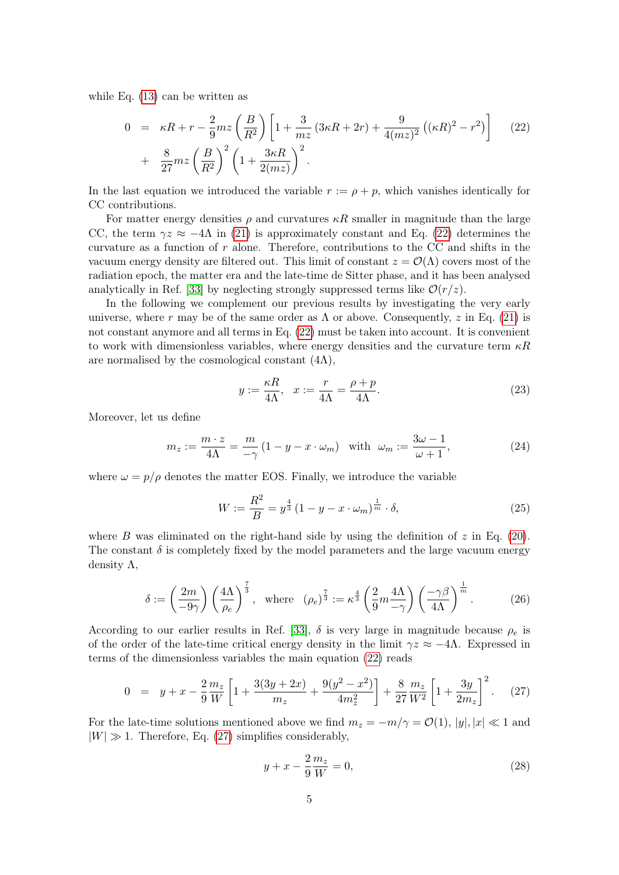while Eq. [\(13\)](#page-2-6) can be written as

<span id="page-4-0"></span>
$$
0 = \kappa R + r - \frac{2}{9} m z \left(\frac{B}{R^2}\right) \left[1 + \frac{3}{m z} \left(3\kappa R + 2r\right) + \frac{9}{4(mz)^2} \left((\kappa R)^2 - r^2\right)\right] \tag{22}
$$

$$
+ \frac{8}{27} m z \left(\frac{B}{R^2}\right)^2 \left(1 + \frac{3\kappa R}{2(mz)}\right)^2.
$$

In the last equation we introduced the variable  $r := \rho + p$ , which vanishes identically for CC contributions.

For matter energy densities  $\rho$  and curvatures  $\kappa R$  smaller in magnitude than the large CC, the term  $\gamma z \approx -4\Lambda$  in [\(21\)](#page-3-4) is approximately constant and Eq. [\(22\)](#page-4-0) determines the curvature as a function of r alone. Therefore, contributions to the CC and shifts in the vacuum energy density are filtered out. This limit of constant  $z = \mathcal{O}(\Lambda)$  covers most of the radiation epoch, the matter era and the late-time de Sitter phase, and it has been analysed analytically in Ref. [\[33\]](#page-12-15) by neglecting strongly suppressed terms like  $\mathcal{O}(r/z)$ .

In the following we complement our previous results by investigating the very early universe, where r may be of the same order as  $\Lambda$  or above. Consequently, z in Eq. [\(21\)](#page-3-4) is not constant anymore and all terms in Eq. [\(22\)](#page-4-0) must be taken into account. It is convenient to work with dimensionless variables, where energy densities and the curvature term  $\kappa R$ are normalised by the cosmological constant  $(4\Lambda)$ ,

<span id="page-4-4"></span>
$$
y := \frac{\kappa R}{4\Lambda}, \quad x := \frac{r}{4\Lambda} = \frac{\rho + p}{4\Lambda}.
$$
 (23)

Moreover, let us define

<span id="page-4-5"></span>
$$
m_z := \frac{m \cdot z}{4\Lambda} = \frac{m}{-\gamma} \left( 1 - y - x \cdot \omega_m \right) \quad \text{with} \quad \omega_m := \frac{3\omega - 1}{\omega + 1},\tag{24}
$$

where  $\omega = p/\rho$  denotes the matter EOS. Finally, we introduce the variable

<span id="page-4-6"></span>
$$
W := \frac{R^2}{B} = y^{\frac{4}{3}} \left( 1 - y - x \cdot \omega_m \right)^{\frac{1}{m}} \cdot \delta,
$$
\n(25)

where B was eliminated on the right-hand side by using the definition of  $z$  in Eq. [\(20\)](#page-3-5). The constant  $\delta$  is completely fixed by the model parameters and the large vacuum energy density Λ,

<span id="page-4-2"></span>
$$
\delta := \left(\frac{2m}{-9\gamma}\right) \left(\frac{4\Lambda}{\rho_e}\right)^{\frac{7}{3}}, \text{ where } (\rho_e)^{\frac{7}{3}} := \kappa^{\frac{4}{3}} \left(\frac{2}{9}m\frac{4\Lambda}{-\gamma}\right) \left(\frac{-\gamma\beta}{4\Lambda}\right)^{\frac{1}{m}}.
$$
 (26)

According to our earlier results in Ref. [\[33\]](#page-12-15),  $\delta$  is very large in magnitude because  $\rho_e$  is of the order of the late-time critical energy density in the limit  $\gamma z \approx -4\Lambda$ . Expressed in terms of the dimensionless variables the main equation [\(22\)](#page-4-0) reads

<span id="page-4-1"></span>
$$
0 = y + x - \frac{2}{9} \frac{m_z}{W} \left[ 1 + \frac{3(3y + 2x)}{m_z} + \frac{9(y^2 - x^2)}{4m_z^2} \right] + \frac{8}{27} \frac{m_z}{W^2} \left[ 1 + \frac{3y}{2m_z} \right]^2.
$$
 (27)

For the late-time solutions mentioned above we find  $m_z = -m/\gamma = \mathcal{O}(1)$ ,  $|y|, |x| \ll 1$  and  $|W| \gg 1$ . Therefore, Eq. [\(27\)](#page-4-1) simplifies considerably,

<span id="page-4-3"></span>
$$
y + x - \frac{2}{9} \frac{m_z}{W} = 0,\t\t(28)
$$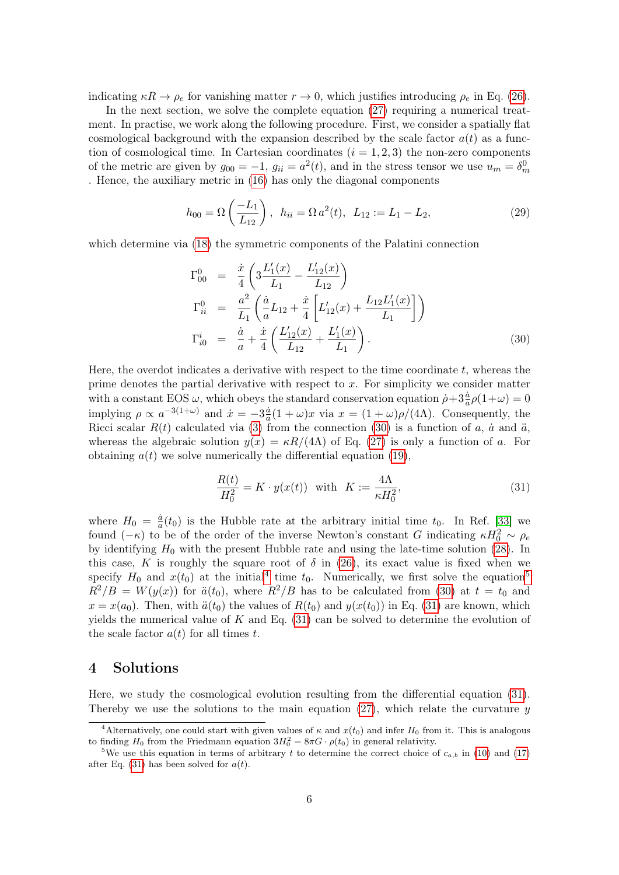indicating  $\kappa R \to \rho_e$  for vanishing matter  $r \to 0$ , which justifies introducing  $\rho_e$  in Eq. [\(26\)](#page-4-2).

In the next section, we solve the complete equation [\(27\)](#page-4-1) requiring a numerical treatment. In practise, we work along the following procedure. First, we consider a spatially flat cosmological background with the expansion described by the scale factor  $a(t)$  as a function of cosmological time. In Cartesian coordinates  $(i = 1, 2, 3)$  the non-zero components of the metric are given by  $g_{00} = -1$ ,  $g_{ii} = a^2(t)$ , and in the stress tensor we use  $u_m = \delta_m^0$ . Hence, the auxiliary metric in [\(16\)](#page-3-2) has only the diagonal components

$$
h_{00} = \Omega\left(\frac{-L_1}{L_{12}}\right), \quad h_{ii} = \Omega a^2(t), \quad L_{12} := L_1 - L_2,\tag{29}
$$

which determine via [\(18\)](#page-3-3) the symmetric components of the Palatini connection

<span id="page-5-1"></span>
$$
\Gamma_{00}^{0} = \frac{\dot{x}}{4} \left( 3 \frac{L_1'(x)}{L_1} - \frac{L_{12}'(x)}{L_{12}} \right)
$$
\n
$$
\Gamma_{ii}^{0} = \frac{a^2}{L_1} \left( \frac{\dot{a}}{a} L_{12} + \frac{\dot{x}}{4} \left[ L_{12}'(x) + \frac{L_{12} L_1'(x)}{L_1} \right] \right)
$$
\n
$$
\Gamma_{i0}^{i} = \frac{\dot{a}}{a} + \frac{\dot{x}}{4} \left( \frac{L_{12}'(x)}{L_{12}} + \frac{L_1'(x)}{L_1} \right).
$$
\n(30)

Here, the overdot indicates a derivative with respect to the time coordinate  $t$ , whereas the prime denotes the partial derivative with respect to  $x$ . For simplicity we consider matter with a constant EOS  $\omega$ , which obeys the standard conservation equation  $\dot{\rho} + 3\frac{\dot{a}}{a}\rho(1+\omega) = 0$ implying  $\rho \propto a^{-3(1+\omega)}$  and  $\dot{x} = -3\frac{\dot{a}}{a}$  $\frac{a}{a}(1+\omega)x$  via  $x=(1+\omega)\rho/(4\Lambda)$ . Consequently, the Ricci scalar  $R(t)$  calculated via [\(3\)](#page-1-3) from the connection [\(30\)](#page-5-1) is a function of a, a and a, whereas the algebraic solution  $y(x) = \kappa R/(4\Lambda)$  of Eq. [\(27\)](#page-4-1) is only a function of a. For obtaining  $a(t)$  we solve numerically the differential equation [\(19\)](#page-3-6),

<span id="page-5-4"></span>
$$
\frac{R(t)}{H_0^2} = K \cdot y(x(t)) \quad \text{with} \quad K := \frac{4\Lambda}{\kappa H_0^2},\tag{31}
$$

where  $H_0 = \frac{\dot{a}}{a}$  $\frac{a}{a}(t_0)$  is the Hubble rate at the arbitrary initial time  $t_0$ . In Ref. [\[33\]](#page-12-15) we found  $(-\kappa)$  to be of the order of the inverse Newton's constant G indicating  $\kappa H_0^2 \sim \rho_e$ by identifying  $H_0$  with the present Hubble rate and using the late-time solution [\(28\)](#page-4-3). In this case, K is roughly the square root of  $\delta$  in [\(26\)](#page-4-2), its exact value is fixed when we specify  $H_0$  and  $x(t_0)$  at the initial<sup>[4](#page-5-2)</sup> time  $t_0$ . Numerically, we first solve the equation<sup>[5](#page-5-3)</sup>  $R^2/B = W(y(x))$  for  $\ddot{a}(t_0)$ , where  $R^2/B$  has to be calculated from [\(30\)](#page-5-1) at  $t = t_0$  and  $x = x(a_0)$ . Then, with  $\ddot{a}(t_0)$  the values of  $R(t_0)$  and  $y(x(t_0))$  in Eq. [\(31\)](#page-5-4) are known, which yields the numerical value of  $K$  and Eq. [\(31\)](#page-5-4) can be solved to determine the evolution of the scale factor  $a(t)$  for all times t.

#### <span id="page-5-0"></span>4 Solutions

Here, we study the cosmological evolution resulting from the differential equation [\(31\)](#page-5-4). Thereby we use the solutions to the main equation  $(27)$ , which relate the curvature y

<span id="page-5-2"></span><sup>&</sup>lt;sup>4</sup>Alternatively, one could start with given values of  $\kappa$  and  $x(t_0)$  and infer  $H_0$  from it. This is analogous to finding  $H_0$  from the Friedmann equation  $3H_0^2 = 8\pi G \cdot \rho(t_0)$  in general relativity.

<span id="page-5-3"></span><sup>&</sup>lt;sup>5</sup>We use this equation in terms of arbitrary t to determine the correct choice of  $c_{a,b}$  in [\(10\)](#page-2-9) and [\(17\)](#page-3-7) after Eq. [\(31\)](#page-5-4) has been solved for  $a(t)$ .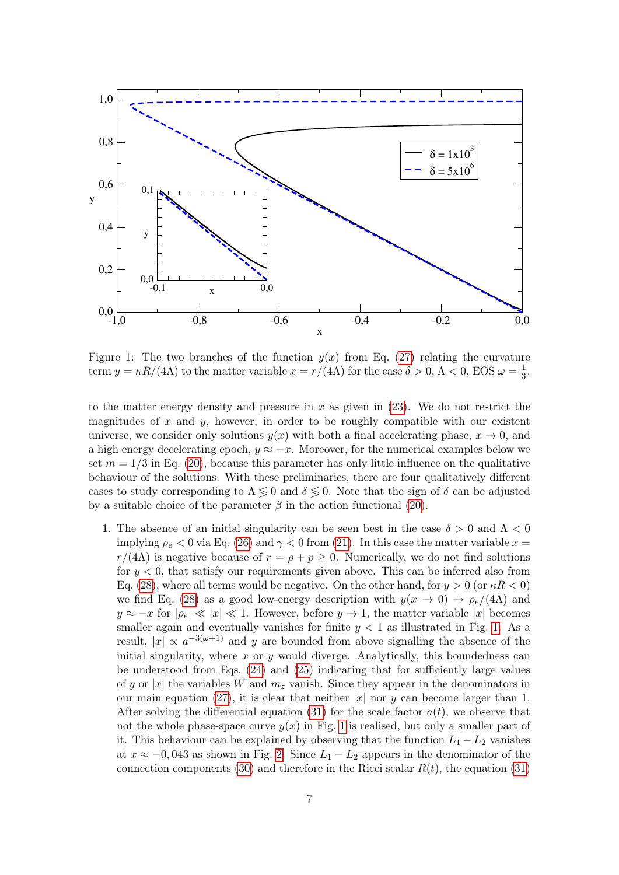

<span id="page-6-0"></span>Figure 1: The two branches of the function  $y(x)$  from Eq. [\(27\)](#page-4-1) relating the curvature term  $y = \kappa R/(4\Lambda)$  to the matter variable  $x = r/(4\Lambda)$  for the case  $\delta > 0, \Lambda < 0$ , EOS  $\omega = \frac{1}{3}$  $rac{1}{3}$ .

to the matter energy density and pressure in x as given in  $(23)$ . We do not restrict the magnitudes of  $x$  and  $y$ , however, in order to be roughly compatible with our existent universe, we consider only solutions  $y(x)$  with both a final accelerating phase,  $x \to 0$ , and a high energy decelerating epoch,  $y \approx -x$ . Moreover, for the numerical examples below we set  $m = 1/3$  in Eq. [\(20\)](#page-3-5), because this parameter has only little influence on the qualitative behaviour of the solutions. With these preliminaries, there are four qualitatively different cases to study corresponding to  $\Lambda \leq 0$  and  $\delta \leq 0$ . Note that the sign of  $\delta$  can be adjusted by a suitable choice of the parameter  $\beta$  in the action functional [\(20\)](#page-3-5).

1. The absence of an initial singularity can be seen best in the case  $\delta > 0$  and  $\Lambda < 0$ implying  $\rho_e < 0$  via Eq. [\(26\)](#page-4-2) and  $\gamma < 0$  from [\(21\)](#page-3-4). In this case the matter variable  $x =$  $r/(4\Lambda)$  is negative because of  $r = \rho + p \geq 0$ . Numerically, we do not find solutions for  $y < 0$ , that satisfy our requirements given above. This can be inferred also from Eq. [\(28\)](#page-4-3), where all terms would be negative. On the other hand, for  $y > 0$  (or  $\kappa R < 0$ ) we find Eq. [\(28\)](#page-4-3) as a good low-energy description with  $y(x \to 0) \to \rho_e/(4\Lambda)$  and  $y \approx -x$  for  $|\rho_e| \ll |x| \ll 1$ . However, before  $y \to 1$ , the matter variable |x| becomes smaller again and eventually vanishes for finite  $y < 1$  as illustrated in Fig. [1.](#page-6-0) As a result,  $|x| \propto a^{-3(\omega+1)}$  and y are bounded from above signalling the absence of the initial singularity, where  $x$  or  $y$  would diverge. Analytically, this boundedness can be understood from Eqs. [\(24\)](#page-4-5) and [\(25\)](#page-4-6) indicating that for sufficiently large values of y or |x| the variables W and  $m<sub>z</sub>$  vanish. Since they appear in the denominators in our main equation [\(27\)](#page-4-1), it is clear that neither  $|x|$  nor y can become larger than 1. After solving the differential equation [\(31\)](#page-5-4) for the scale factor  $a(t)$ , we observe that not the whole phase-space curve  $y(x)$  in Fig. [1](#page-6-0) is realised, but only a smaller part of it. This behaviour can be explained by observing that the function  $L_1 - L_2$  vanishes at  $x \approx -0.043$  as shown in Fig. [2.](#page-7-0) Since  $L_1 - L_2$  appears in the denominator of the connection components [\(30\)](#page-5-1) and therefore in the Ricci scalar  $R(t)$ , the equation [\(31\)](#page-5-4)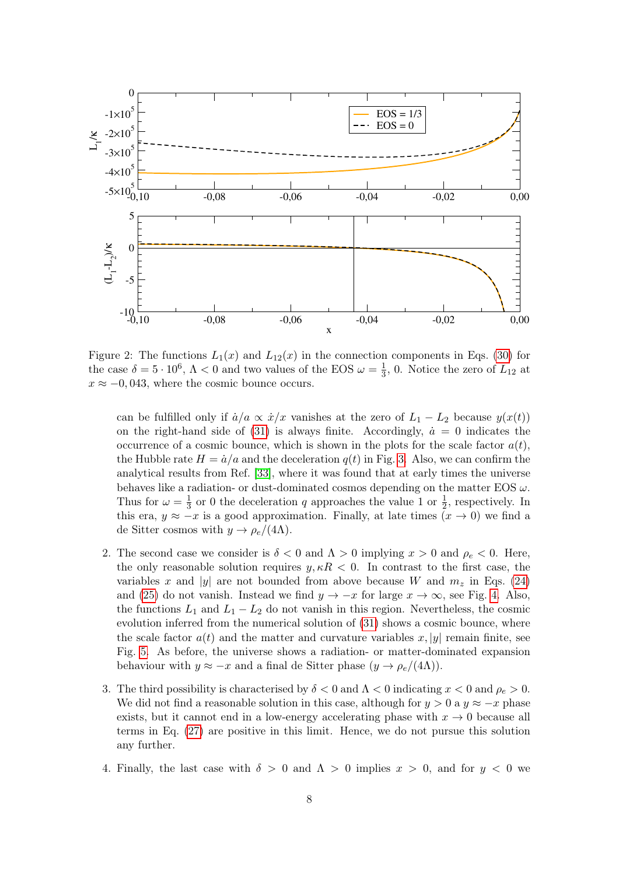

<span id="page-7-0"></span>Figure 2: The functions  $L_1(x)$  and  $L_1(x)$  in the connection components in Eqs. [\(30\)](#page-5-1) for the case  $\delta = 5 \cdot 10^6$ ,  $\Lambda < 0$  and two values of the EOS  $\omega = \frac{1}{3}$  $\frac{1}{3}$ , 0. Notice the zero of  $L_{12}$  at  $x \approx -0.043$ , where the cosmic bounce occurs.

can be fulfilled only if  $\dot{a}/a \propto \dot{x}/x$  vanishes at the zero of  $L_1 - L_2$  because  $y(x(t))$ on the right-hand side of  $(31)$  is always finite. Accordingly,  $\dot{a} = 0$  indicates the occurrence of a cosmic bounce, which is shown in the plots for the scale factor  $a(t)$ , the Hubble rate  $H = \dot{a}/a$  and the deceleration  $q(t)$  in Fig. [3.](#page-8-0) Also, we can confirm the analytical results from Ref. [\[33\]](#page-12-15), where it was found that at early times the universe behaves like a radiation- or dust-dominated cosmos depending on the matter EOS  $\omega$ . Thus for  $\omega = \frac{1}{3}$  $\frac{1}{3}$  or 0 the deceleration q approaches the value 1 or  $\frac{1}{2}$ , respectively. In this era,  $y \approx -x$  is a good approximation. Finally, at late times  $(x \to 0)$  we find a de Sitter cosmos with  $y \to \rho_e/(4\Lambda)$ .

- 2. The second case we consider is  $\delta < 0$  and  $\Lambda > 0$  implying  $x > 0$  and  $\rho_e < 0$ . Here, the only reasonable solution requires  $y, \kappa R < 0$ . In contrast to the first case, the variables x and |y| are not bounded from above because W and  $m_z$  in Eqs. [\(24\)](#page-4-5) and [\(25\)](#page-4-6) do not vanish. Instead we find  $y \to -x$  for large  $x \to \infty$ , see Fig. [4.](#page-8-1) Also, the functions  $L_1$  and  $L_1 - L_2$  do not vanish in this region. Nevertheless, the cosmic evolution inferred from the numerical solution of [\(31\)](#page-5-4) shows a cosmic bounce, where the scale factor  $a(t)$  and the matter and curvature variables x, |y| remain finite, see Fig. [5.](#page-9-0) As before, the universe shows a radiation- or matter-dominated expansion behaviour with  $y \approx -x$  and a final de Sitter phase  $(y \to \rho_e/(4\Lambda))$ .
- 3. The third possibility is characterised by  $\delta < 0$  and  $\Lambda < 0$  indicating  $x < 0$  and  $\rho_e > 0$ . We did not find a reasonable solution in this case, although for  $y > 0$  a  $y \approx -x$  phase exists, but it cannot end in a low-energy accelerating phase with  $x \to 0$  because all terms in Eq. [\(27\)](#page-4-1) are positive in this limit. Hence, we do not pursue this solution any further.
- 4. Finally, the last case with  $\delta > 0$  and  $\Lambda > 0$  implies  $x > 0$ , and for  $y < 0$  we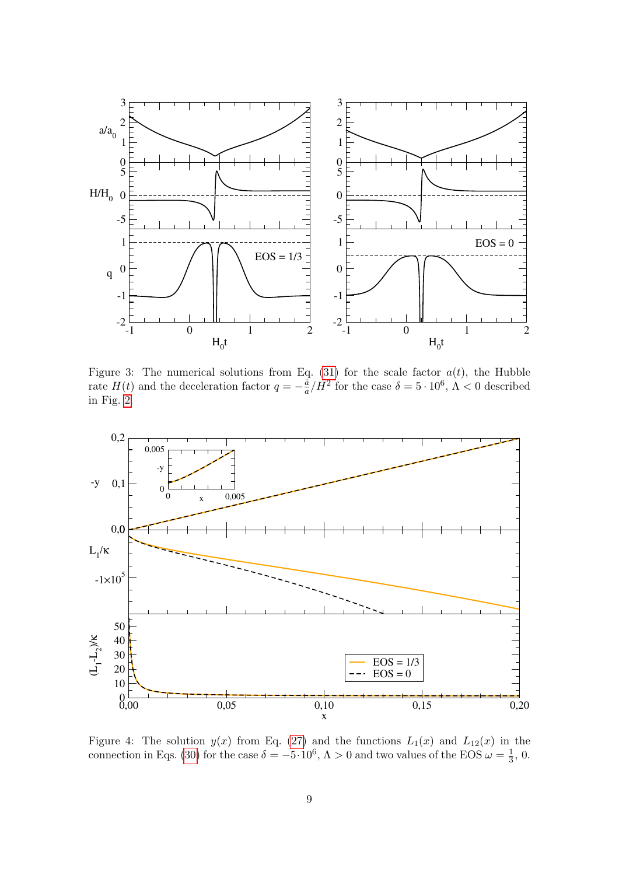

<span id="page-8-0"></span>Figure 3: The numerical solutions from Eq. [\(31\)](#page-5-4) for the scale factor  $a(t)$ , the Hubble rate  $H(t)$  and the deceleration factor  $q = -\frac{a}{a}$  $\frac{\ddot{a}}{a}/H^2$  for the case  $\delta = 5 \cdot 10^6$ ,  $\Lambda < 0$  described in Fig. [2.](#page-7-0)



<span id="page-8-1"></span>Figure 4: The solution  $y(x)$  from Eq. [\(27\)](#page-4-1) and the functions  $L_1(x)$  and  $L_{12}(x)$  in the connection in Eqs. [\(30\)](#page-5-1) for the case  $\delta = -5.10^6$ ,  $\Lambda > 0$  and two values of the EOS  $\omega = \frac{1}{3}$  $\frac{1}{3}$ , 0.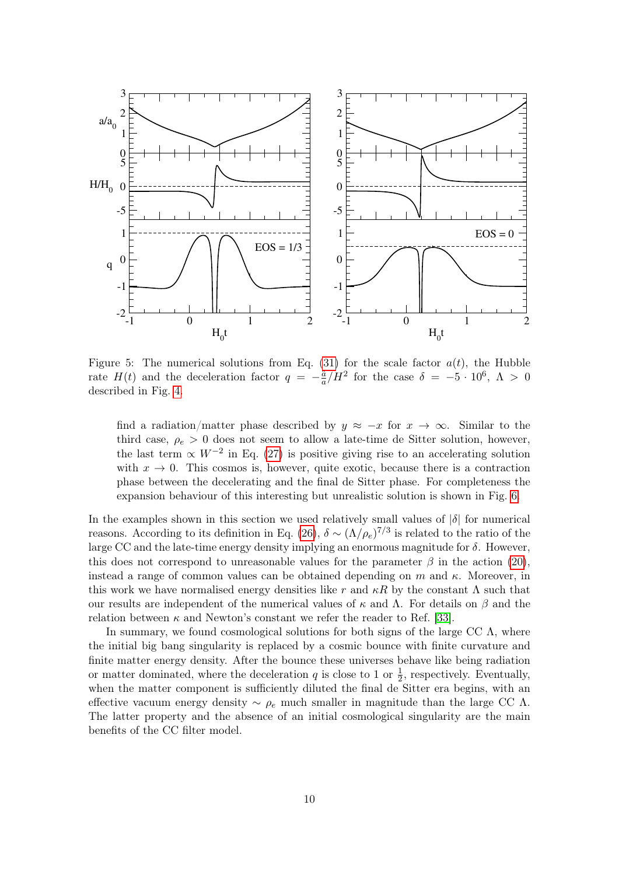

<span id="page-9-0"></span>Figure 5: The numerical solutions from Eq. [\(31\)](#page-5-4) for the scale factor  $a(t)$ , the Hubble rate  $H(t)$  and the deceleration factor  $q = -\frac{a}{a}$  $\frac{\ddot{a}}{a}/H^2$  for the case  $\delta = -5 \cdot 10^6$ ,  $\Lambda > 0$ described in Fig. [4.](#page-8-1)

find a radiation/matter phase described by  $y \approx -x$  for  $x \to \infty$ . Similar to the third case,  $\rho_e > 0$  does not seem to allow a late-time de Sitter solution, however, the last term  $\propto W^{-2}$  in Eq. [\(27\)](#page-4-1) is positive giving rise to an accelerating solution with  $x \to 0$ . This cosmos is, however, quite exotic, because there is a contraction phase between the decelerating and the final de Sitter phase. For completeness the expansion behaviour of this interesting but unrealistic solution is shown in Fig. [6.](#page-10-1)

In the examples shown in this section we used relatively small values of  $|\delta|$  for numerical reasons. According to its definition in Eq. [\(26\)](#page-4-2),  $\delta \sim (\Lambda/\rho_e)^{7/3}$  is related to the ratio of the large CC and the late-time energy density implying an enormous magnitude for  $\delta$ . However, this does not correspond to unreasonable values for the parameter  $\beta$  in the action [\(20\)](#page-3-5), instead a range of common values can be obtained depending on m and  $\kappa$ . Moreover, in this work we have normalised energy densities like r and  $\kappa R$  by the constant  $\Lambda$  such that our results are independent of the numerical values of  $\kappa$  and  $\Lambda$ . For details on  $\beta$  and the relation between  $\kappa$  and Newton's constant we refer the reader to Ref. [\[33\]](#page-12-15).

In summary, we found cosmological solutions for both signs of the large CC  $\Lambda$ , where the initial big bang singularity is replaced by a cosmic bounce with finite curvature and finite matter energy density. After the bounce these universes behave like being radiation or matter dominated, where the deceleration  $q$  is close to 1 or  $\frac{1}{2}$ , respectively. Eventually, when the matter component is sufficiently diluted the final de Sitter era begins, with an effective vacuum energy density ~  $\rho_e$  much smaller in magnitude than the large CC  $\Lambda$ . The latter property and the absence of an initial cosmological singularity are the main benefits of the CC filter model.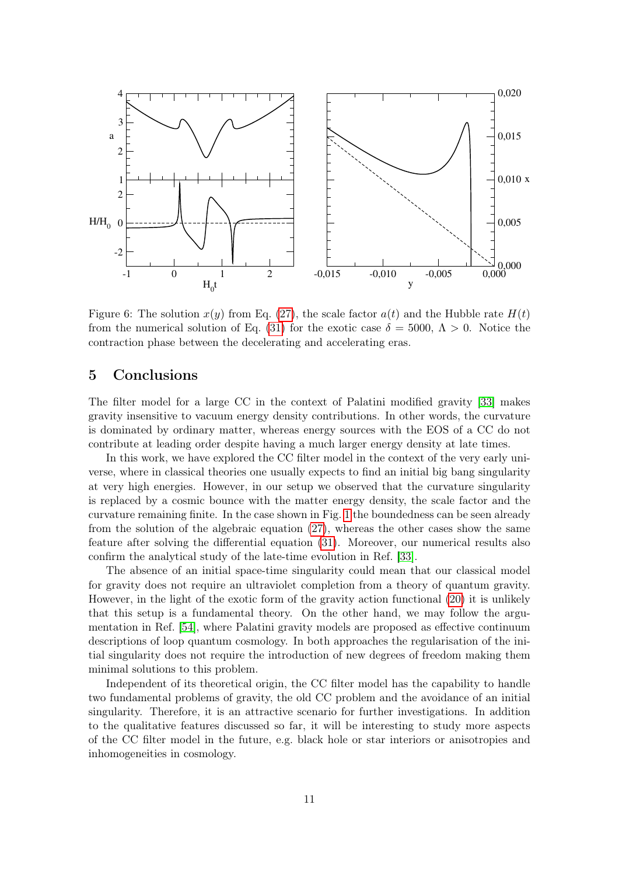

<span id="page-10-1"></span>Figure 6: The solution  $x(y)$  from Eq. [\(27\)](#page-4-1), the scale factor  $a(t)$  and the Hubble rate  $H(t)$ from the numerical solution of Eq. [\(31\)](#page-5-4) for the exotic case  $\delta = 5000, \Lambda > 0$ . Notice the contraction phase between the decelerating and accelerating eras.

#### <span id="page-10-0"></span>5 Conclusions

The filter model for a large CC in the context of Palatini modified gravity [\[33\]](#page-12-15) makes gravity insensitive to vacuum energy density contributions. In other words, the curvature is dominated by ordinary matter, whereas energy sources with the EOS of a CC do not contribute at leading order despite having a much larger energy density at late times.

In this work, we have explored the CC filter model in the context of the very early universe, where in classical theories one usually expects to find an initial big bang singularity at very high energies. However, in our setup we observed that the curvature singularity is replaced by a cosmic bounce with the matter energy density, the scale factor and the curvature remaining finite. In the case shown in Fig. [1](#page-6-0) the boundedness can be seen already from the solution of the algebraic equation [\(27\)](#page-4-1), whereas the other cases show the same feature after solving the differential equation [\(31\)](#page-5-4). Moreover, our numerical results also confirm the analytical study of the late-time evolution in Ref. [\[33\]](#page-12-15).

The absence of an initial space-time singularity could mean that our classical model for gravity does not require an ultraviolet completion from a theory of quantum gravity. However, in the light of the exotic form of the gravity action functional [\(20\)](#page-3-5) it is unlikely that this setup is a fundamental theory. On the other hand, we may follow the argumentation in Ref. [\[54\]](#page-13-15), where Palatini gravity models are proposed as effective continuum descriptions of loop quantum cosmology. In both approaches the regularisation of the initial singularity does not require the introduction of new degrees of freedom making them minimal solutions to this problem.

Independent of its theoretical origin, the CC filter model has the capability to handle two fundamental problems of gravity, the old CC problem and the avoidance of an initial singularity. Therefore, it is an attractive scenario for further investigations. In addition to the qualitative features discussed so far, it will be interesting to study more aspects of the CC filter model in the future, e.g. black hole or star interiors or anisotropies and inhomogeneities in cosmology.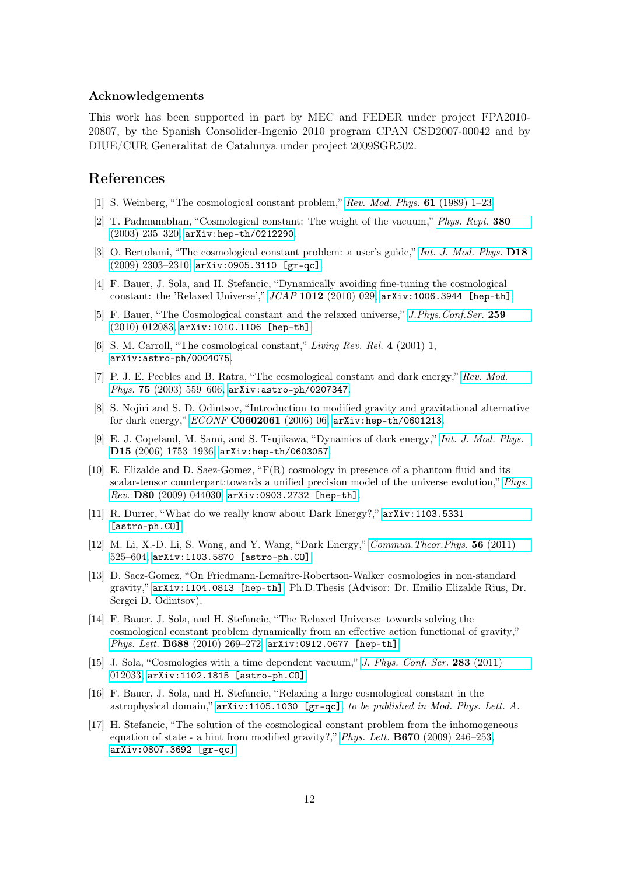#### Acknowledgements

This work has been supported in part by MEC and FEDER under project FPA2010- 20807, by the Spanish Consolider-Ingenio 2010 program CPAN CSD2007-00042 and by DIUE/CUR Generalitat de Catalunya under project 2009SGR502.

## References

- <span id="page-11-0"></span>[1] S. Weinberg, "The cosmological constant problem," [Rev. Mod. Phys.](http://dx.doi.org/10.1103/RevModPhys.61.1) 61 (1989) 1–23.
- <span id="page-11-1"></span>[2] T. Padmanabhan, "Cosmological constant: The weight of the vacuum," [Phys. Rept.](http://dx.doi.org/10.1016/S0370-1573(03)00120-0) 380 [\(2003\) 235–320,](http://dx.doi.org/10.1016/S0370-1573(03)00120-0) [arXiv:hep-th/0212290](http://arxiv.org/abs/hep-th/0212290).
- <span id="page-11-2"></span>[3] O. Bertolami, "The cosmological constant problem: a user's guide," [Int. J. Mod. Phys.](http://dx.doi.org/10.1142/S0218271809015862) D18 [\(2009\) 2303–2310,](http://dx.doi.org/10.1142/S0218271809015862) [arXiv:0905.3110 \[gr-qc\]](http://arxiv.org/abs/0905.3110).
- <span id="page-11-3"></span>[4] F. Bauer, J. Sola, and H. Stefancic, "Dynamically avoiding fine-tuning the cosmological constant: the 'Relaxed Universe'," JCAP 1012 [\(2010\) 029,](http://dx.doi.org/10.1088/1475-7516/2010/12/029) [arXiv:1006.3944 \[hep-th\]](http://arxiv.org/abs/1006.3944).
- <span id="page-11-4"></span>[5] F. Bauer, "The Cosmological constant and the relaxed universe," [J.Phys.Conf.Ser.](http://dx.doi.org/10.1088/1742-6596/259/1/012083) 259 [\(2010\) 012083,](http://dx.doi.org/10.1088/1742-6596/259/1/012083) [arXiv:1010.1106 \[hep-th\]](http://arxiv.org/abs/1010.1106).
- <span id="page-11-5"></span>[6] S. M. Carroll, "The cosmological constant," Living Rev. Rel. 4 (2001) 1, [arXiv:astro-ph/0004075](http://arxiv.org/abs/astro-ph/0004075).
- <span id="page-11-6"></span>[7] P. J. E. Peebles and B. Ratra, "The cosmological constant and dark energy," [Rev. Mod.](http://dx.doi.org/10.1103/RevModPhys.75.559) Phys. 75 [\(2003\) 559–606,](http://dx.doi.org/10.1103/RevModPhys.75.559) [arXiv:astro-ph/0207347](http://arxiv.org/abs/astro-ph/0207347).
- <span id="page-11-7"></span>[8] S. Nojiri and S. D. Odintsov, "Introduction to modified gravity and gravitational alternative for dark energy," ECONF [C0602061](http://dx.doi.org/10.1142/S0219887807001928) (2006) 06, [arXiv:hep-th/0601213](http://arxiv.org/abs/hep-th/0601213).
- <span id="page-11-8"></span>[9] E. J. Copeland, M. Sami, and S. Tsujikawa, "Dynamics of dark energy," [Int. J. Mod. Phys.](http://dx.doi.org/10.1142/S021827180600942X) D15 [\(2006\) 1753–1936,](http://dx.doi.org/10.1142/S021827180600942X) [arXiv:hep-th/0603057](http://arxiv.org/abs/hep-th/0603057).
- <span id="page-11-9"></span>[10] E. Elizalde and D. Saez-Gomez, "F(R) cosmology in presence of a phantom fluid and its scalar-tensor counterpart:towards a unified precision model of the universe evolution," [Phys.](http://dx.doi.org/10.1103/PhysRevD.80.044030) Rev. D80 [\(2009\) 044030,](http://dx.doi.org/10.1103/PhysRevD.80.044030) [arXiv:0903.2732 \[hep-th\]](http://arxiv.org/abs/0903.2732).
- <span id="page-11-10"></span>[11] R. Durrer, "What do we really know about Dark Energy?," [arXiv:1103.5331](http://arxiv.org/abs/1103.5331) [\[astro-ph.CO\]](http://arxiv.org/abs/1103.5331).
- <span id="page-11-11"></span>[12] M. Li, X.-D. Li, S. Wang, and Y. Wang, "Dark Energy," [Commun.Theor.Phys.](http://dx.doi.org/10.1088/0253-6102/56/3/24) 56 (2011) [525–604,](http://dx.doi.org/10.1088/0253-6102/56/3/24) [arXiv:1103.5870 \[astro-ph.CO\]](http://arxiv.org/abs/1103.5870).
- <span id="page-11-12"></span>[13] D. Saez-Gomez, "On Friedmann-Lemaître-Robertson-Walker cosmologies in non-standard gravity," [arXiv:1104.0813 \[hep-th\]](http://arxiv.org/abs/1104.0813). Ph.D.Thesis (Advisor: Dr. Emilio Elizalde Rius, Dr. Sergei D. Odintsov).
- <span id="page-11-13"></span>[14] F. Bauer, J. Sola, and H. Stefancic, "The Relaxed Universe: towards solving the cosmological constant problem dynamically from an effective action functional of gravity," Phys. Lett. B688 [\(2010\) 269–272,](http://dx.doi.org/10.1016/j.physletb.2010.04.029) [arXiv:0912.0677 \[hep-th\]](http://arxiv.org/abs/0912.0677).
- <span id="page-11-14"></span>[15] J. Sola, "Cosmologies with a time dependent vacuum," [J. Phys. Conf. Ser.](http://dx.doi.org/10.1088/1742-6596/283/1/012033) 283 (2011) [012033,](http://dx.doi.org/10.1088/1742-6596/283/1/012033) [arXiv:1102.1815 \[astro-ph.CO\]](http://arxiv.org/abs/1102.1815).
- <span id="page-11-15"></span>[16] F. Bauer, J. Sola, and H. Stefancic, "Relaxing a large cosmological constant in the astrophysical domain," [arXiv:1105.1030 \[gr-qc\]](http://arxiv.org/abs/1105.1030). to be published in Mod. Phys. Lett. A.
- <span id="page-11-16"></span>[17] H. Stefancic, "The solution of the cosmological constant problem from the inhomogeneous equation of state - a hint from modified gravity?," Phys. Lett.  $\bf{B670}$  [\(2009\) 246–253,](http://dx.doi.org/10.1016/j.physletb.2008.10.065) [arXiv:0807.3692 \[gr-qc\]](http://arxiv.org/abs/0807.3692).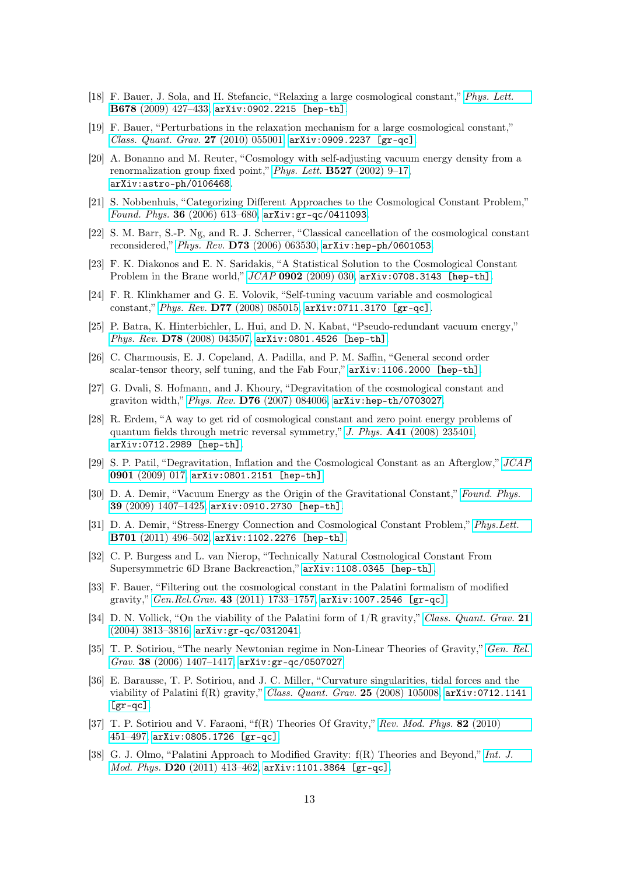- <span id="page-12-0"></span>[18] F. Bauer, J. Sola, and H. Stefancic, "Relaxing a large cosmological constant," [Phys. Lett.](http://dx.doi.org/10.1016/j.physletb.2009.06.065) B678 [\(2009\) 427–433,](http://dx.doi.org/10.1016/j.physletb.2009.06.065) [arXiv:0902.2215 \[hep-th\]](http://arxiv.org/abs/0902.2215).
- <span id="page-12-1"></span>[19] F. Bauer, "Perturbations in the relaxation mechanism for a large cosmological constant," [Class. Quant. Grav.](http://dx.doi.org/10.1088/0264-9381/27/5/055001) 27 (2010) 055001,  $arXiv:0909.2237$  [gr-qc].
- <span id="page-12-2"></span>[20] A. Bonanno and M. Reuter, "Cosmology with self-adjusting vacuum energy density from a renormalization group fixed point," *Phys. Lett.*  $\textbf{B527}$  [\(2002\) 9–17,](http://dx.doi.org/10.1016/S0370-2693(01)01522-2) [arXiv:astro-ph/0106468](http://arxiv.org/abs/astro-ph/0106468).
- <span id="page-12-3"></span>[21] S. Nobbenhuis, "Categorizing Different Approaches to the Cosmological Constant Problem," Found. Phys. 36 [\(2006\) 613–680,](http://dx.doi.org/10.1007/s10701-005-9042-8) [arXiv:gr-qc/0411093](http://arxiv.org/abs/gr-qc/0411093).
- <span id="page-12-4"></span>[22] S. M. Barr, S.-P. Ng, and R. J. Scherrer, "Classical cancellation of the cosmological constant reconsidered," Phys. Rev. D73 [\(2006\) 063530,](http://dx.doi.org/10.1103/PhysRevD.73.063530) [arXiv:hep-ph/0601053](http://arxiv.org/abs/hep-ph/0601053).
- <span id="page-12-5"></span>[23] F. K. Diakonos and E. N. Saridakis, "A Statistical Solution to the Cosmological Constant Problem in the Brane world,"  $JCAP$  0902 [\(2009\) 030,](http://dx.doi.org/10.1088/1475-7516/2009/02/030)  $arXiv:0708.3143$  [hep-th].
- <span id="page-12-6"></span>[24] F. R. Klinkhamer and G. E. Volovik, "Self-tuning vacuum variable and cosmological constant," Phys. Rev. D77 [\(2008\) 085015,](http://dx.doi.org/10.1103/PhysRevD.77.085015) [arXiv:0711.3170 \[gr-qc\]](http://arxiv.org/abs/0711.3170).
- <span id="page-12-7"></span>[25] P. Batra, K. Hinterbichler, L. Hui, and D. N. Kabat, "Pseudo-redundant vacuum energy," Phys. Rev. D78 [\(2008\) 043507,](http://dx.doi.org/10.1103/PhysRevD.78.043507) [arXiv:0801.4526 \[hep-th\]](http://arxiv.org/abs/0801.4526).
- <span id="page-12-8"></span>[26] C. Charmousis, E. J. Copeland, A. Padilla, and P. M. Saffin, "General second order scalar-tensor theory, self tuning, and the Fab Four," [arXiv:1106.2000 \[hep-th\]](http://arxiv.org/abs/1106.2000).
- <span id="page-12-9"></span>[27] G. Dvali, S. Hofmann, and J. Khoury, "Degravitation of the cosmological constant and graviton width," Phys. Rev. D76 [\(2007\) 084006,](http://dx.doi.org/10.1103/PhysRevD.76.084006) [arXiv:hep-th/0703027](http://arxiv.org/abs/hep-th/0703027).
- <span id="page-12-10"></span>[28] R. Erdem, "A way to get rid of cosmological constant and zero point energy problems of quantum fields through metric reversal symmetry," J. Phys. A41 [\(2008\) 235401,](http://dx.doi.org/10.1088/1751-8113/41/23/235401) [arXiv:0712.2989 \[hep-th\]](http://arxiv.org/abs/0712.2989).
- <span id="page-12-11"></span>[29] S. P. Patil, "Degravitation, Inflation and the Cosmological Constant as an Afterglow," [JCAP](http://dx.doi.org/10.1088/1475-7516/2009/01/017) 0901 [\(2009\) 017,](http://dx.doi.org/10.1088/1475-7516/2009/01/017) [arXiv:0801.2151 \[hep-th\]](http://arxiv.org/abs/0801.2151).
- <span id="page-12-12"></span>[30] D. A. Demir, "Vacuum Energy as the Origin of the Gravitational Constant," [Found. Phys.](http://dx.doi.org/10.1007/s10701-009-9364-z) 39 [\(2009\) 1407–1425,](http://dx.doi.org/10.1007/s10701-009-9364-z) [arXiv:0910.2730 \[hep-th\]](http://arxiv.org/abs/0910.2730).
- <span id="page-12-13"></span>[31] D. A. Demir, "Stress-Energy Connection and Cosmological Constant Problem," [Phys.Lett.](http://dx.doi.org/10.1016/j.physletb.2011.06.018) B701 [\(2011\) 496–502,](http://dx.doi.org/10.1016/j.physletb.2011.06.018) [arXiv:1102.2276 \[hep-th\]](http://arxiv.org/abs/1102.2276).
- <span id="page-12-14"></span>[32] C. P. Burgess and L. van Nierop, "Technically Natural Cosmological Constant From Supersymmetric 6D Brane Backreaction," [arXiv:1108.0345 \[hep-th\]](http://arxiv.org/abs/1108.0345).
- <span id="page-12-15"></span>[33] F. Bauer, "Filtering out the cosmological constant in the Palatini formalism of modified gravity," Gen.Rel.Grav. 43 [\(2011\) 1733–1757,](http://dx.doi.org/10.1007/s10714-011-1153-2) [arXiv:1007.2546 \[gr-qc\]](http://arxiv.org/abs/1007.2546).
- <span id="page-12-16"></span>[34] D. N. Vollick, "On the viability of the Palatini form of  $1/R$  gravity," [Class. Quant. Grav.](http://dx.doi.org/10.1088/0264-9381/21/15/N01) 21 [\(2004\) 3813–3816,](http://dx.doi.org/10.1088/0264-9381/21/15/N01) [arXiv:gr-qc/0312041](http://arxiv.org/abs/gr-qc/0312041).
- <span id="page-12-17"></span>[35] T. P. Sotiriou, "The nearly Newtonian regime in Non-Linear Theories of Gravity," [Gen. Rel.](http://dx.doi.org/10.1007/s10714-006-0328-8) Grav. 38 (2006) 1407-1417,  $arXiv:gr-qc/0507027$ .
- <span id="page-12-18"></span>[36] E. Barausse, T. P. Sotiriou, and J. C. Miller, "Curvature singularities, tidal forces and the viability of Palatini f(R) gravity," [Class. Quant. Grav.](http://dx.doi.org/10.1088/0264-9381/25/10/105008) 25 (2008) 105008, [arXiv:0712.1141](http://arxiv.org/abs/0712.1141)  $[gr-qc]$ .
- <span id="page-12-19"></span>[37] T. P. Sotiriou and V. Faraoni, "f(R) Theories Of Gravity," [Rev. Mod. Phys.](http://dx.doi.org/10.1103/RevModPhys.82.451) 82 (2010) [451–497,](http://dx.doi.org/10.1103/RevModPhys.82.451) [arXiv:0805.1726 \[gr-qc\]](http://arxiv.org/abs/0805.1726).
- <span id="page-12-20"></span>[38] G. J. Olmo, "Palatini Approach to Modified Gravity: f(R) Theories and Beyond," [Int. J.](http://dx.doi.org/10.1142/S0218271811018925) Mod. Phys. D20 [\(2011\) 413–462,](http://dx.doi.org/10.1142/S0218271811018925) [arXiv:1101.3864 \[gr-qc\]](http://arxiv.org/abs/1101.3864).